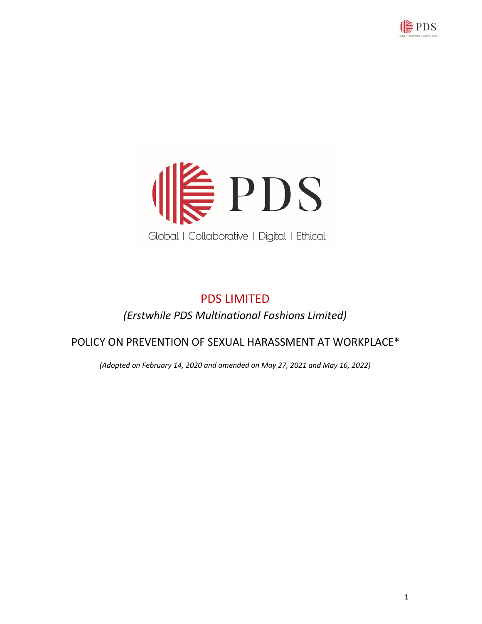



# PDS LIMITED *(Erstwhile PDS Multinational Fashions Limited)*

# POLICY ON PREVENTION OF SEXUAL HARASSMENT AT WORKPLACE\*

*(Adopted on February 14, 2020 and amended on May 27, 2021 and May 16, 2022)*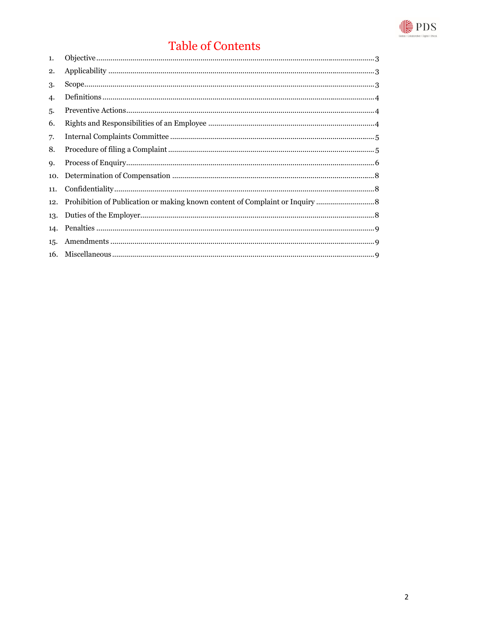

# Table of Contents

| 1.  |  |
|-----|--|
| 2.  |  |
| 3.  |  |
| 4.  |  |
| 5.  |  |
| 6.  |  |
| 7.  |  |
| 8.  |  |
| 9.  |  |
| 10. |  |
| 11. |  |
| 12. |  |
| 13. |  |
| 14. |  |
| 15. |  |
| 16. |  |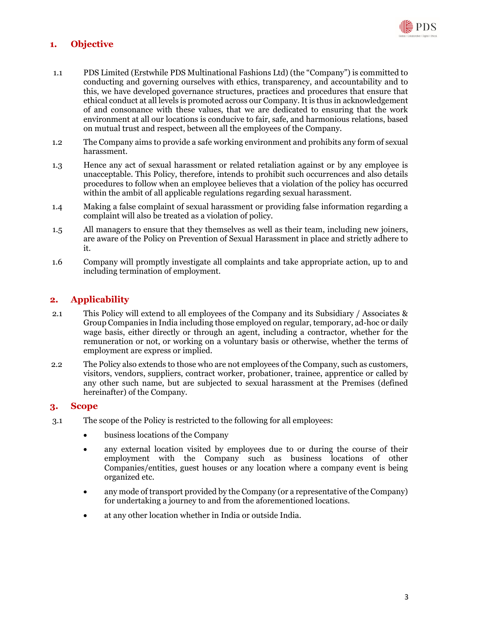

# **1. Objective**

- 1.1 PDS Limited (Erstwhile PDS Multinational Fashions Ltd) (the "Company") is committed to conducting and governing ourselves with ethics, transparency, and accountability and to this, we have developed governance structures, practices and procedures that ensure that ethical conduct at all levels is promoted across our Company. It is thus in acknowledgement of and consonance with these values, that we are dedicated to ensuring that the work environment at all our locations is conducive to fair, safe, and harmonious relations, based on mutual trust and respect, between all the employees of the Company.
- 1.2 The Company aims to provide a safe working environment and prohibits any form of sexual harassment.
- 1.3 Hence any act of sexual harassment or related retaliation against or by any employee is unacceptable. This Policy, therefore, intends to prohibit such occurrences and also details procedures to follow when an employee believes that a violation of the policy has occurred within the ambit of all applicable regulations regarding sexual harassment.
- 1.4 Making a false complaint of sexual harassment or providing false information regarding a complaint will also be treated as a violation of policy.
- 1.5 All managers to ensure that they themselves as well as their team, including new joiners, are aware of the Policy on Prevention of Sexual Harassment in place and strictly adhere to it.
- 1.6 Company will promptly investigate all complaints and take appropriate action, up to and including termination of employment.

# **2. Applicability**

- 2.1 This Policy will extend to all employees of the Company and its Subsidiary / Associates & Group Companies in India including those employed on regular, temporary, ad-hoc or daily wage basis, either directly or through an agent, including a contractor, whether for the remuneration or not, or working on a voluntary basis or otherwise, whether the terms of employment are express or implied.
- 2.2 The Policy also extends to those who are not employees of the Company, such as customers, visitors, vendors, suppliers, contract worker, probationer, trainee, apprentice or called by any other such name, but are subjected to sexual harassment at the Premises (defined hereinafter) of the Company.

#### **3. Scope**

- 3.1 The scope of the Policy is restricted to the following for all employees:
	- business locations of the Company
	- any external location visited by employees due to or during the course of their employment with the Company such as business locations of other Companies/entities, guest houses or any location where a company event is being organized etc.
	- any mode of transport provided by the Company (or a representative of the Company) for undertaking a journey to and from the aforementioned locations.
	- at any other location whether in India or outside India.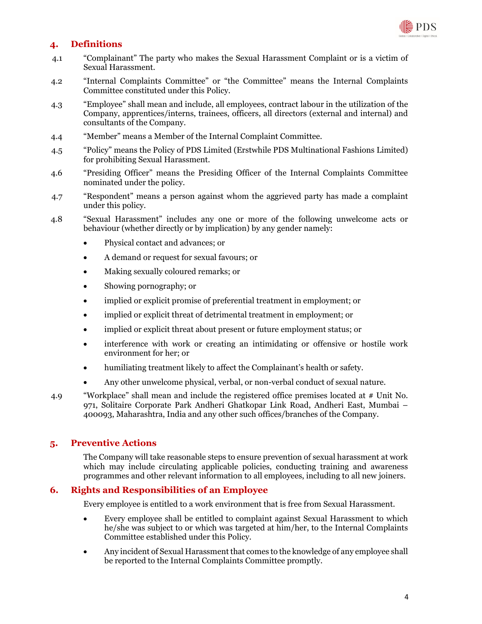

# **4. Definitions**

- 4.1 "Complainant" The party who makes the Sexual Harassment Complaint or is a victim of Sexual Harassment.
- 4.2 "Internal Complaints Committee" or "the Committee" means the Internal Complaints Committee constituted under this Policy.
- 4.3 "Employee" shall mean and include, all employees, contract labour in the utilization of the Company, apprentices/interns, trainees, officers, all directors (external and internal) and consultants of the Company.
- 4.4 "Member" means a Member of the Internal Complaint Committee.
- 4.5 "Policy" means the Policy of PDS Limited (Erstwhile PDS Multinational Fashions Limited) for prohibiting Sexual Harassment.
- 4.6 "Presiding Officer" means the Presiding Officer of the Internal Complaints Committee nominated under the policy.
- 4.7 "Respondent" means a person against whom the aggrieved party has made a complaint under this policy.
- 4.8 "Sexual Harassment" includes any one or more of the following unwelcome acts or behaviour (whether directly or by implication) by any gender namely:
	- Physical contact and advances; or
	- A demand or request for sexual favours; or
	- Making sexually coloured remarks; or
	- Showing pornography; or
	- implied or explicit promise of preferential treatment in employment; or
	- implied or explicit threat of detrimental treatment in employment; or
	- implied or explicit threat about present or future employment status; or
	- interference with work or creating an intimidating or offensive or hostile work environment for her; or
	- humiliating treatment likely to affect the Complainant's health or safety.
	- Any other unwelcome physical, verbal, or non-verbal conduct of sexual nature.
- 4.9 "Workplace" shall mean and include the registered office premises located at # Unit No. 971, Solitaire Corporate Park Andheri Ghatkopar Link Road, Andheri East, Mumbai – 400093, Maharashtra, India and any other such offices/branches of the Company.

# **5. Preventive Actions**

The Company will take reasonable steps to ensure prevention of sexual harassment at work which may include circulating applicable policies, conducting training and awareness programmes and other relevant information to all employees, including to all new joiners.

#### **6. Rights and Responsibilities of an Employee**

Every employee is entitled to a work environment that is free from Sexual Harassment.

- Every employee shall be entitled to complaint against Sexual Harassment to which he/she was subject to or which was targeted at him/her, to the Internal Complaints Committee established under this Policy.
- Any incident of Sexual Harassment that comes to the knowledge of any employee shall be reported to the Internal Complaints Committee promptly.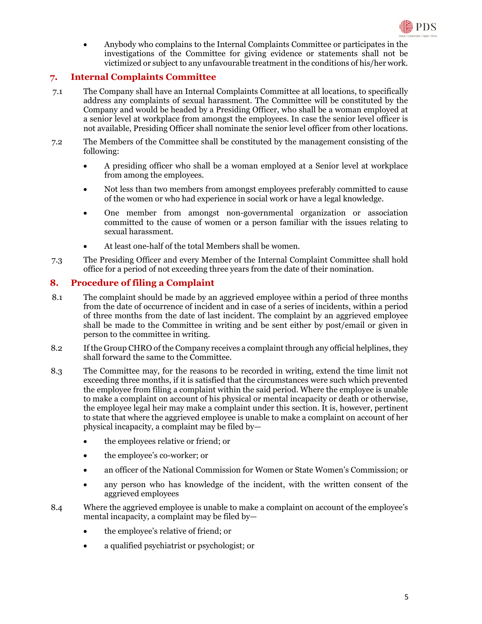

 Anybody who complains to the Internal Complaints Committee or participates in the investigations of the Committee for giving evidence or statements shall not be victimized or subject to any unfavourable treatment in the conditions of his/her work.

# **7. Internal Complaints Committee**

- 7.1 The Company shall have an Internal Complaints Committee at all locations, to specifically address any complaints of sexual harassment. The Committee will be constituted by the Company and would be headed by a Presiding Officer, who shall be a woman employed at a senior level at workplace from amongst the employees. In case the senior level officer is not available, Presiding Officer shall nominate the senior level officer from other locations.
- 7.2 The Members of the Committee shall be constituted by the management consisting of the following:
	- A presiding officer who shall be a woman employed at a Senior level at workplace from among the employees.
	- Not less than two members from amongst employees preferably committed to cause of the women or who had experience in social work or have a legal knowledge.
	- One member from amongst non-governmental organization or association committed to the cause of women or a person familiar with the issues relating to sexual harassment.
	- At least one-half of the total Members shall be women.
- 7.3 The Presiding Officer and every Member of the Internal Complaint Committee shall hold office for a period of not exceeding three years from the date of their nomination.

### **8. Procedure of filing a Complaint**

- 8.1 The complaint should be made by an aggrieved employee within a period of three months from the date of occurrence of incident and in case of a series of incidents, within a period of three months from the date of last incident. The complaint by an aggrieved employee shall be made to the Committee in writing and be sent either by post/email or given in person to the committee in writing.
- 8.2 If the Group CHRO of the Company receives a complaint through any official helplines, they shall forward the same to the Committee.
- 8.3 The Committee may, for the reasons to be recorded in writing, extend the time limit not exceeding three months, if it is satisfied that the circumstances were such which prevented the employee from filing a complaint within the said period. Where the employee is unable to make a complaint on account of his physical or mental incapacity or death or otherwise, the employee legal heir may make a complaint under this section. It is, however, pertinent to state that where the aggrieved employee is unable to make a complaint on account of her physical incapacity, a complaint may be filed by—
	- the employees relative or friend; or
	- the employee's co-worker; or
	- an officer of the National Commission for Women or State Women's Commission; or
	- any person who has knowledge of the incident, with the written consent of the aggrieved employees
- 8.4 Where the aggrieved employee is unable to make a complaint on account of the employee's mental incapacity, a complaint may be filed by—
	- the employee's relative of friend; or
	- a qualified psychiatrist or psychologist; or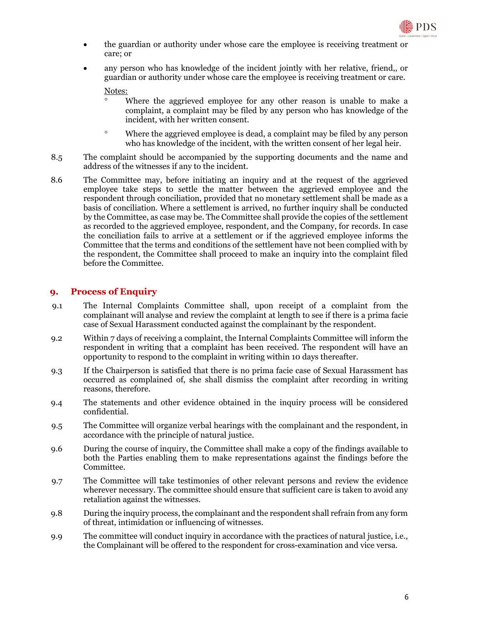

- the guardian or authority under whose care the employee is receiving treatment or care; or
- any person who has knowledge of the incident jointly with her relative, friend,, or guardian or authority under whose care the employee is receiving treatment or care.

Notes:

- Where the aggrieved employee for any other reason is unable to make a complaint, a complaint may be filed by any person who has knowledge of the incident, with her written consent.
- Where the aggrieved employee is dead, a complaint may be filed by any person who has knowledge of the incident, with the written consent of her legal heir.
- 8.5 The complaint should be accompanied by the supporting documents and the name and address of the witnesses if any to the incident.
- 8.6 The Committee may, before initiating an inquiry and at the request of the aggrieved employee take steps to settle the matter between the aggrieved employee and the respondent through conciliation, provided that no monetary settlement shall be made as a basis of conciliation. Where a settlement is arrived, no further inquiry shall be conducted by the Committee, as case may be. The Committee shall provide the copies of the settlement as recorded to the aggrieved employee, respondent, and the Company, for records. In case the conciliation fails to arrive at a settlement or if the aggrieved employee informs the Committee that the terms and conditions of the settlement have not been complied with by the respondent, the Committee shall proceed to make an inquiry into the complaint filed before the Committee.

### **9. Process of Enquiry**

- 9.1 The Internal Complaints Committee shall, upon receipt of a complaint from the complainant will analyse and review the complaint at length to see if there is a prima facie case of Sexual Harassment conducted against the complainant by the respondent.
- 9.2 Within 7 days of receiving a complaint, the Internal Complaints Committee will inform the respondent in writing that a complaint has been received. The respondent will have an opportunity to respond to the complaint in writing within 10 days thereafter.
- 9.3 If the Chairperson is satisfied that there is no prima facie case of Sexual Harassment has occurred as complained of, she shall dismiss the complaint after recording in writing reasons, therefore.
- 9.4 The statements and other evidence obtained in the inquiry process will be considered confidential.
- 9.5 The Committee will organize verbal hearings with the complainant and the respondent, in accordance with the principle of natural justice.
- 9.6 During the course of inquiry, the Committee shall make a copy of the findings available to both the Parties enabling them to make representations against the findings before the Committee.
- 9.7 The Committee will take testimonies of other relevant persons and review the evidence wherever necessary. The committee should ensure that sufficient care is taken to avoid any retaliation against the witnesses.
- 9.8 During the inquiry process, the complainant and the respondent shall refrain from any form of threat, intimidation or influencing of witnesses.
- 9.9 The committee will conduct inquiry in accordance with the practices of natural justice, i.e., the Complainant will be offered to the respondent for cross-examination and vice versa.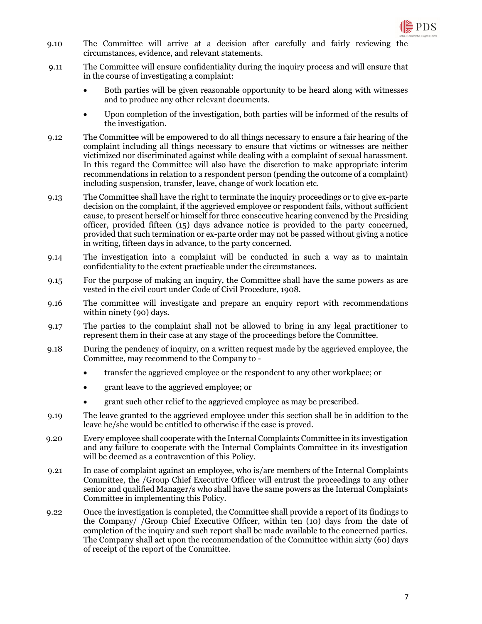

- 9.10 The Committee will arrive at a decision after carefully and fairly reviewing the circumstances, evidence, and relevant statements.
- 9.11 The Committee will ensure confidentiality during the inquiry process and will ensure that in the course of investigating a complaint:
	- Both parties will be given reasonable opportunity to be heard along with witnesses and to produce any other relevant documents.
	- Upon completion of the investigation, both parties will be informed of the results of the investigation.
- 9.12 The Committee will be empowered to do all things necessary to ensure a fair hearing of the complaint including all things necessary to ensure that victims or witnesses are neither victimized nor discriminated against while dealing with a complaint of sexual harassment. In this regard the Committee will also have the discretion to make appropriate interim recommendations in relation to a respondent person (pending the outcome of a complaint) including suspension, transfer, leave, change of work location etc.
- 9.13 The Committee shall have the right to terminate the inquiry proceedings or to give ex-parte decision on the complaint, if the aggrieved employee or respondent fails, without sufficient cause, to present herself or himself for three consecutive hearing convened by the Presiding officer, provided fifteen (15) days advance notice is provided to the party concerned, provided that such termination or ex-parte order may not be passed without giving a notice in writing, fifteen days in advance, to the party concerned.
- 9.14 The investigation into a complaint will be conducted in such a way as to maintain confidentiality to the extent practicable under the circumstances.
- 9.15 For the purpose of making an inquiry, the Committee shall have the same powers as are vested in the civil court under Code of Civil Procedure, 1908.
- 9.16 The committee will investigate and prepare an enquiry report with recommendations within ninety (90) days.
- 9.17 The parties to the complaint shall not be allowed to bring in any legal practitioner to represent them in their case at any stage of the proceedings before the Committee.
- 9.18 During the pendency of inquiry, on a written request made by the aggrieved employee, the Committee, may recommend to the Company to
	- transfer the aggrieved employee or the respondent to any other workplace; or
	- grant leave to the aggrieved employee; or
	- grant such other relief to the aggrieved employee as may be prescribed.
- 9.19 The leave granted to the aggrieved employee under this section shall be in addition to the leave he/she would be entitled to otherwise if the case is proved.
- 9.20 Every employee shall cooperate with the Internal Complaints Committee in its investigation and any failure to cooperate with the Internal Complaints Committee in its investigation will be deemed as a contravention of this Policy.
- 9.21 In case of complaint against an employee, who is/are members of the Internal Complaints Committee, the /Group Chief Executive Officer will entrust the proceedings to any other senior and qualified Manager/s who shall have the same powers as the Internal Complaints Committee in implementing this Policy.
- 9.22 Once the investigation is completed, the Committee shall provide a report of its findings to the Company/ /Group Chief Executive Officer, within ten (10) days from the date of completion of the inquiry and such report shall be made available to the concerned parties. The Company shall act upon the recommendation of the Committee within sixty (60) days of receipt of the report of the Committee.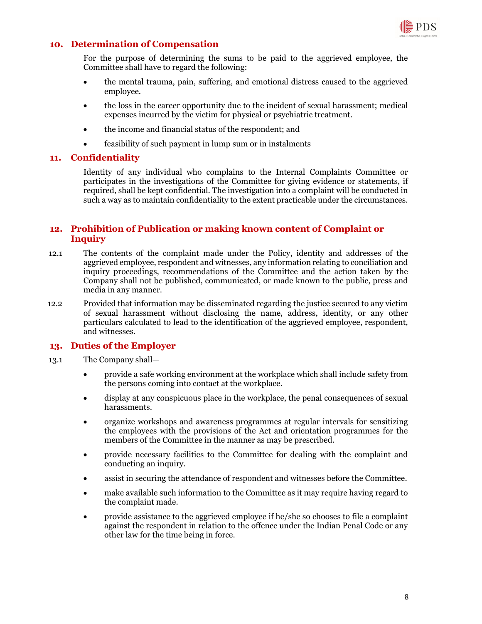

### **10. Determination of Compensation**

For the purpose of determining the sums to be paid to the aggrieved employee, the Committee shall have to regard the following:

- the mental trauma, pain, suffering, and emotional distress caused to the aggrieved employee.
- the loss in the career opportunity due to the incident of sexual harassment; medical expenses incurred by the victim for physical or psychiatric treatment.
- the income and financial status of the respondent; and
- feasibility of such payment in lump sum or in instalments

#### **11. Confidentiality**

Identity of any individual who complains to the Internal Complaints Committee or participates in the investigations of the Committee for giving evidence or statements, if required, shall be kept confidential. The investigation into a complaint will be conducted in such a way as to maintain confidentiality to the extent practicable under the circumstances.

### **12. Prohibition of Publication or making known content of Complaint or Inquiry**

- 12.1 The contents of the complaint made under the Policy, identity and addresses of the aggrieved employee, respondent and witnesses, any information relating to conciliation and inquiry proceedings, recommendations of the Committee and the action taken by the Company shall not be published, communicated, or made known to the public, press and media in any manner.
- 12.2 Provided that information may be disseminated regarding the justice secured to any victim of sexual harassment without disclosing the name, address, identity, or any other particulars calculated to lead to the identification of the aggrieved employee, respondent, and witnesses.

#### **13. Duties of the Employer**

- 13.1 The Company shall
	- provide a safe working environment at the workplace which shall include safety from the persons coming into contact at the workplace.
	- display at any conspicuous place in the workplace, the penal consequences of sexual harassments.
	- organize workshops and awareness programmes at regular intervals for sensitizing the employees with the provisions of the Act and orientation programmes for the members of the Committee in the manner as may be prescribed.
	- provide necessary facilities to the Committee for dealing with the complaint and conducting an inquiry.
	- assist in securing the attendance of respondent and witnesses before the Committee.
	- make available such information to the Committee as it may require having regard to the complaint made.
	- provide assistance to the aggrieved employee if he/she so chooses to file a complaint against the respondent in relation to the offence under the Indian Penal Code or any other law for the time being in force.